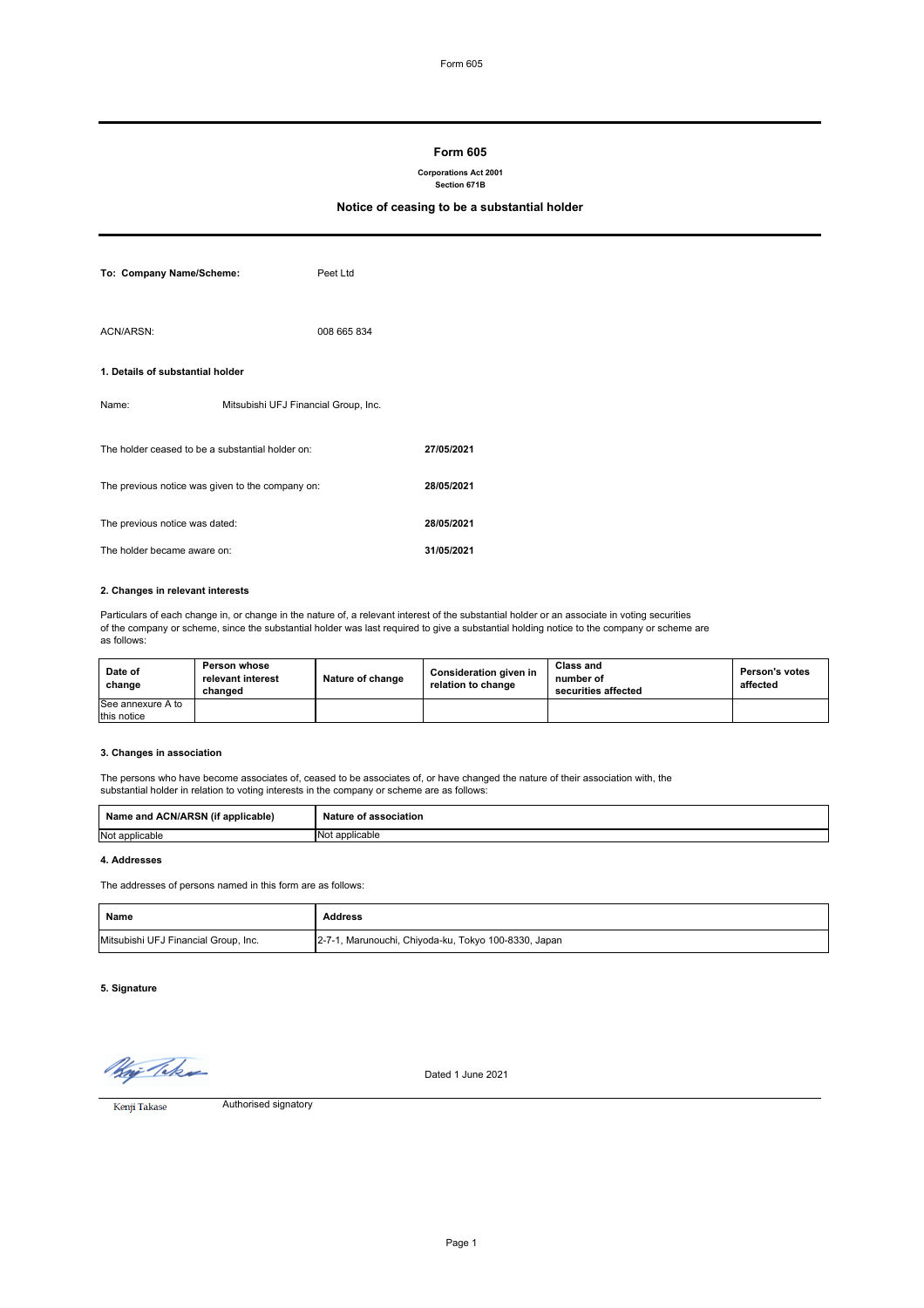# **Form 605**

#### **Corporations Act 2001 Section 671B**

# **Notice of ceasing to be a substantial holder**

| To: Company Name/Scheme:                         |                                      | Peet Ltd    |            |
|--------------------------------------------------|--------------------------------------|-------------|------------|
| ACN/ARSN:                                        |                                      | 008 665 834 |            |
| 1. Details of substantial holder                 |                                      |             |            |
| Name:                                            | Mitsubishi UFJ Financial Group, Inc. |             |            |
| The holder ceased to be a substantial holder on: |                                      |             | 27/05/2021 |
| The previous notice was given to the company on: |                                      |             | 28/05/2021 |
| The previous notice was dated:                   |                                      |             | 28/05/2021 |
| The holder became aware on:                      |                                      | 31/05/2021  |            |

### **2. Changes in relevant interests**

Particulars of each change in, or change in the nature of, a relevant interest of the substantial holder or an associate in voting securities of the company or scheme, since the substantial holder was last required to give a substantial holding notice to the company or scheme are as follows:

| Date of<br>change | Person whose<br>relevant interest<br>changed | Nature of change | Consideration given in<br>relation to change | <b>Class and</b><br>number of<br>securities affected | <b>Person's votes</b><br>affected |
|-------------------|----------------------------------------------|------------------|----------------------------------------------|------------------------------------------------------|-----------------------------------|
| See annexure A to |                                              |                  |                                              |                                                      |                                   |
| this notice       |                                              |                  |                                              |                                                      |                                   |

# **3. Changes in association**

The persons who have become associates of, ceased to be associates of, or have changed the nature of their association with, the substantial holder in relation to voting interests in the company or scheme are as follows:

| $\cdot$ $\cdot$ $\cdot$<br>Name and ACN/ARSN<br>' applicable)<br>. (IT | Nature of association |
|------------------------------------------------------------------------|-----------------------|
| Not applicable                                                         | `applicable<br>No1    |

# **4. Addresses**

The addresses of persons named in this form are as follows:

| Name                                 | Address                                              |
|--------------------------------------|------------------------------------------------------|
| Mitsubishi UFJ Financial Group, Inc. | 2-7-1, Marunouchi, Chiyoda-ku, Tokyo 100-8330, Japan |

# **5. Signature**

*May Takes*<br>Kenji Takase

Dated 1 June 2021

Authorised signatory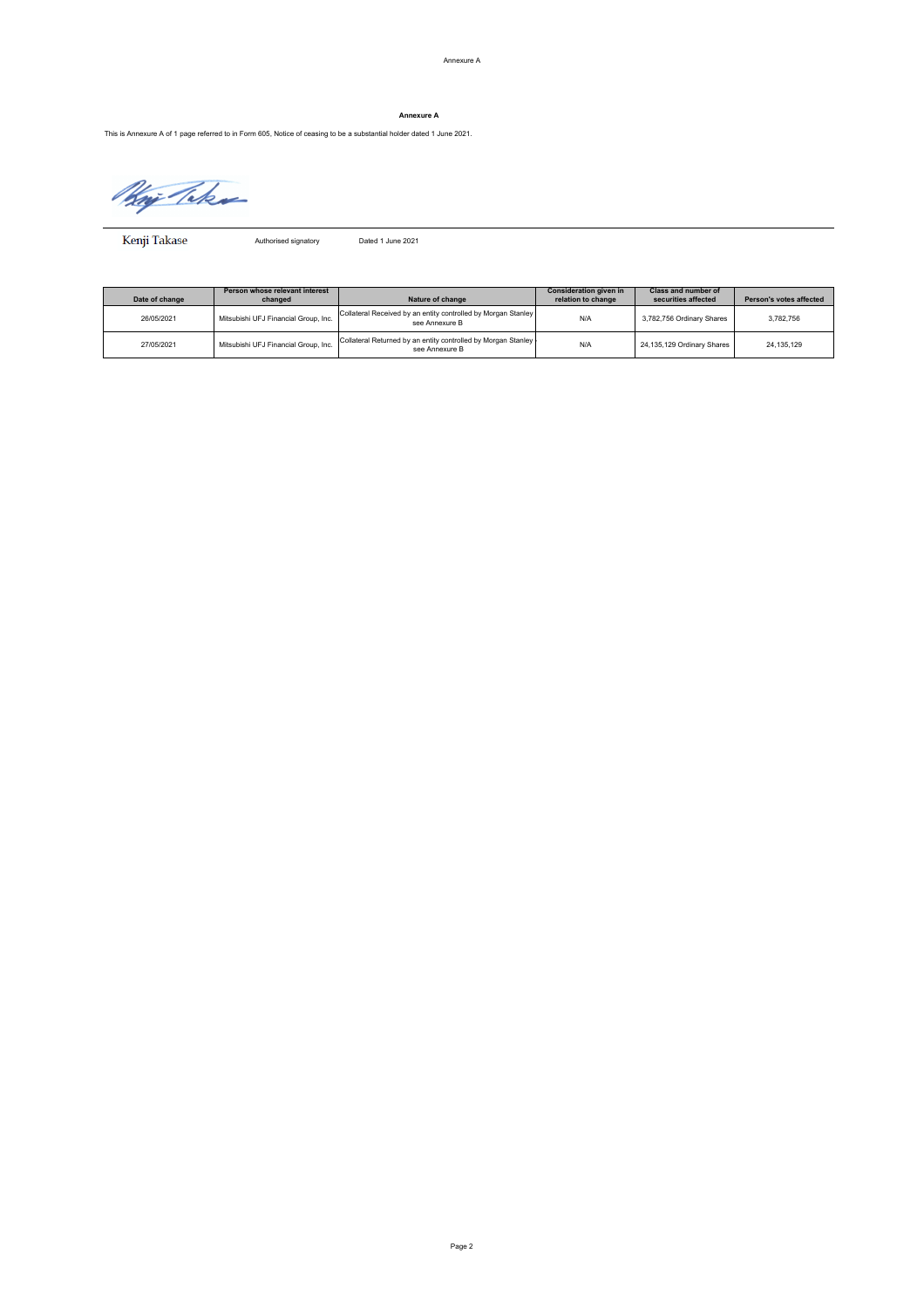# **Annexure A**

This is Annexure A of 1 page referred to in Form 605, Notice of ceasing to be a substantial holder dated 1 June 2021.

Kaj Teks

Kenji Takase

Authorised signatory Dated 1 June 2021

| Date of change | Person whose relevant interest<br>changed | Nature of change                                                                  | Consideration given in<br>relation to change | Class and number of<br>securities affected | Person's votes affected |
|----------------|-------------------------------------------|-----------------------------------------------------------------------------------|----------------------------------------------|--------------------------------------------|-------------------------|
| 26/05/2021     | Mitsubishi UFJ Financial Group, Inc.      | Collateral Received by an entity controlled by Morgan Stanley<br>see Annexure B   | N/A                                          | 3,782,756 Ordinary Shares                  | 3.782.756               |
| 27/05/2021     | Mitsubishi UFJ Financial Group, Inc.      | Collateral Returned by an entity controlled by Morgan Stanley -<br>see Annexure B | N/A                                          | 24.135.129 Ordinary Shares                 | 24.135.129              |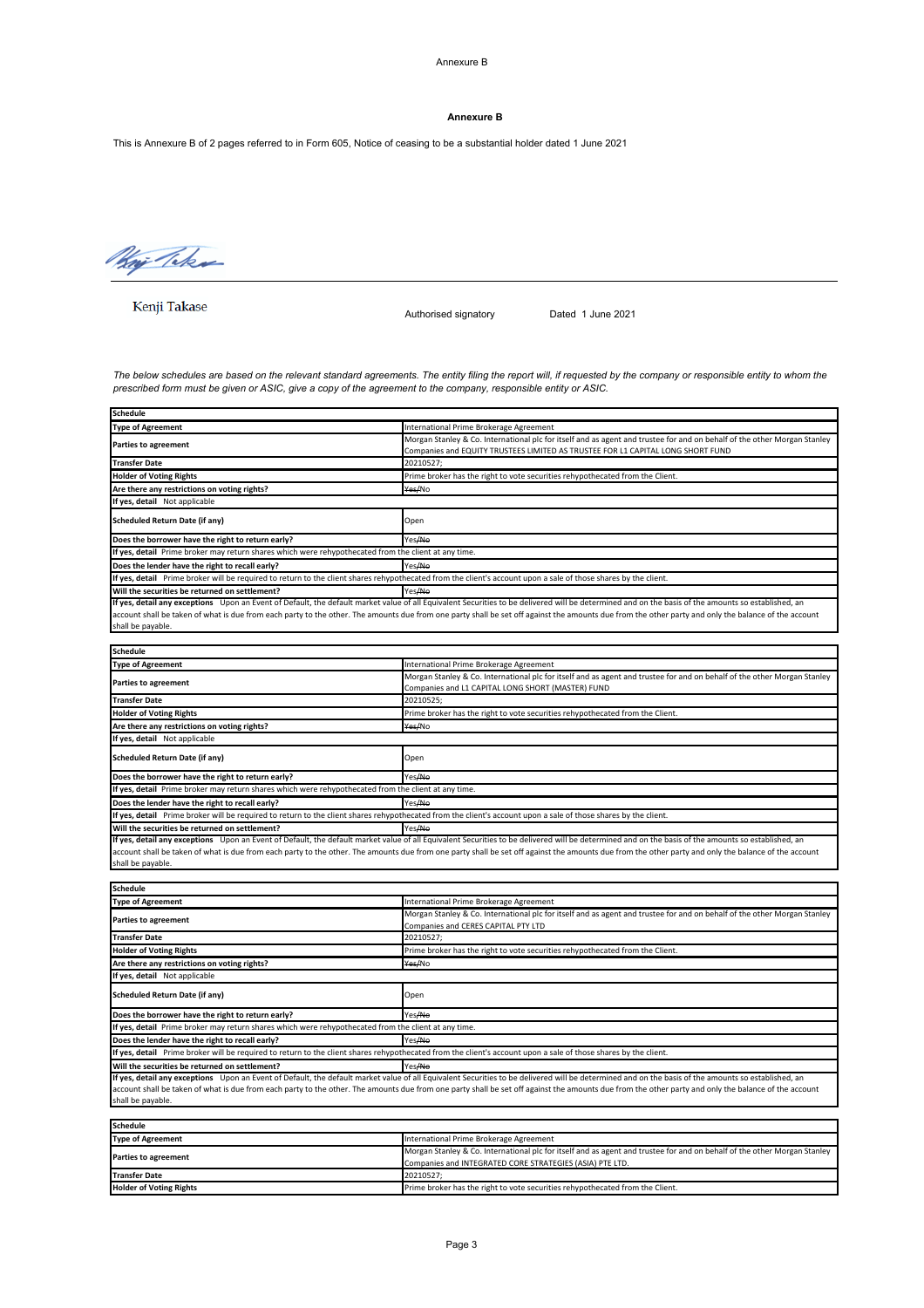Annexure B

#### **Annexure B**

This is Annexure B of 2 pages referred to in Form 605, Notice of ceasing to be a substantial holder dated 1 June 2021

Whip Take

Kenji Takase

Authorised signatory Dated 1 June 2021

*The below schedules are based on the relevant standard agreements. The entity filing the report will, if requested by the company or responsible entity to whom the prescribed form must be given or ASIC, give a copy of the agreement to the company, responsible entity or ASIC.*

| <b>Schedule</b>                                                                                                                                                 |                                                                                                                                                                                                      |  |  |
|-----------------------------------------------------------------------------------------------------------------------------------------------------------------|------------------------------------------------------------------------------------------------------------------------------------------------------------------------------------------------------|--|--|
| <b>Type of Agreement</b>                                                                                                                                        | International Prime Brokerage Agreement                                                                                                                                                              |  |  |
| <b>Parties to agreement</b>                                                                                                                                     | Morgan Stanley & Co. International plc for itself and as agent and trustee for and on behalf of the other Morgan Stanley                                                                             |  |  |
|                                                                                                                                                                 | Companies and EQUITY TRUSTEES LIMITED AS TRUSTEE FOR L1 CAPITAL LONG SHORT FUND                                                                                                                      |  |  |
| <b>Transfer Date</b>                                                                                                                                            | 20210527;                                                                                                                                                                                            |  |  |
| <b>Holder of Voting Rights</b>                                                                                                                                  | Prime broker has the right to vote securities rehypothecated from the Client.                                                                                                                        |  |  |
| Are there any restrictions on voting rights?                                                                                                                    | Yes/No                                                                                                                                                                                               |  |  |
| If yes, detail Not applicable                                                                                                                                   |                                                                                                                                                                                                      |  |  |
| Scheduled Return Date (if any)                                                                                                                                  | Open                                                                                                                                                                                                 |  |  |
| Does the borrower have the right to return early?                                                                                                               | Yes <del>/No</del>                                                                                                                                                                                   |  |  |
| If yes, detail Prime broker may return shares which were rehypothecated from the client at any time.                                                            |                                                                                                                                                                                                      |  |  |
| Does the lender have the right to recall early?                                                                                                                 | Yes <del>/No</del>                                                                                                                                                                                   |  |  |
| If yes, detail Prime broker will be required to return to the client shares rehypothecated from the client's account upon a sale of those shares by the client. |                                                                                                                                                                                                      |  |  |
| Will the securities be returned on settlement?                                                                                                                  | Yes <del>/No</del>                                                                                                                                                                                   |  |  |
|                                                                                                                                                                 | If yes, detail any exceptions Upon an Event of Default, the default market value of all Equivalent Securities to be delivered will be determined and on the basis of the amounts so established, an  |  |  |
|                                                                                                                                                                 | account shall be taken of what is due from each party to the other. The amounts due from one party shall be set off against the amounts due from the other party and only the balance of the account |  |  |
| shall be payable.                                                                                                                                               |                                                                                                                                                                                                      |  |  |
|                                                                                                                                                                 |                                                                                                                                                                                                      |  |  |
| <b>Schedule</b>                                                                                                                                                 |                                                                                                                                                                                                      |  |  |
| <b>Type of Agreement</b>                                                                                                                                        | International Prime Brokerage Agreement                                                                                                                                                              |  |  |
| <b>Parties to agreement</b>                                                                                                                                     | Morgan Stanley & Co. International plc for itself and as agent and trustee for and on behalf of the other Morgan Stanley<br>Companies and L1 CAPITAL LONG SHORT (MASTER) FUND                        |  |  |
| <b>Transfer Date</b>                                                                                                                                            | 20210525:                                                                                                                                                                                            |  |  |
| <b>Holder of Voting Rights</b>                                                                                                                                  | Prime broker has the right to vote securities rehypothecated from the Client.                                                                                                                        |  |  |
| Are there any restrictions on voting rights?                                                                                                                    | Yes/No                                                                                                                                                                                               |  |  |
| If yes, detail Not applicable                                                                                                                                   |                                                                                                                                                                                                      |  |  |
| Scheduled Return Date (if any)                                                                                                                                  | Open                                                                                                                                                                                                 |  |  |
| Does the borrower have the right to return early?                                                                                                               | Yes <del>/No</del>                                                                                                                                                                                   |  |  |
| If yes, detail Prime broker may return shares which were rehypothecated from the client at any time.                                                            |                                                                                                                                                                                                      |  |  |
| Does the lender have the right to recall early?                                                                                                                 | Yes <del>/No</del>                                                                                                                                                                                   |  |  |
| If yes, detail Prime broker will be required to return to the client shares rehypothecated from the client's account upon a sale of those shares by the client. |                                                                                                                                                                                                      |  |  |
| Will the securities be returned on settlement?                                                                                                                  | Yes <del>/No</del>                                                                                                                                                                                   |  |  |
|                                                                                                                                                                 | If yes, detail any exceptions Upon an Event of Default, the default market value of all Equivalent Securities to be delivered will be determined and on the basis of the amounts so established, an  |  |  |
|                                                                                                                                                                 | account shall be taken of what is due from each party to the other. The amounts due from one party shall be set off against the amounts due from the other party and only the balance of the account |  |  |
| shall be payable.                                                                                                                                               |                                                                                                                                                                                                      |  |  |
|                                                                                                                                                                 |                                                                                                                                                                                                      |  |  |
| <b>Schedule</b>                                                                                                                                                 |                                                                                                                                                                                                      |  |  |
| <b>Type of Agreement</b>                                                                                                                                        | International Prime Brokerage Agreement                                                                                                                                                              |  |  |
|                                                                                                                                                                 | Morgan Stanley & Co. International plc for itself and as agent and trustee for and on behalf of the other Morgan Stanley                                                                             |  |  |

| International Prime Brokerage Agreement                                                                                                                                                              |  |  |
|------------------------------------------------------------------------------------------------------------------------------------------------------------------------------------------------------|--|--|
| Morgan Stanley & Co. International plc for itself and as agent and trustee for and on behalf of the other Morgan Stanley                                                                             |  |  |
| Companies and CERES CAPITAL PTY LTD                                                                                                                                                                  |  |  |
| 20210527;                                                                                                                                                                                            |  |  |
| Prime broker has the right to vote securities rehypothecated from the Client.                                                                                                                        |  |  |
| Yes/No                                                                                                                                                                                               |  |  |
|                                                                                                                                                                                                      |  |  |
| Open                                                                                                                                                                                                 |  |  |
| Yes/No                                                                                                                                                                                               |  |  |
| If yes, detail Prime broker may return shares which were rehypothecated from the client at any time.                                                                                                 |  |  |
| Yes/No                                                                                                                                                                                               |  |  |
| If yes, detail Prime broker will be required to return to the client shares rehypothecated from the client's account upon a sale of those shares by the client.                                      |  |  |
| Yes/No                                                                                                                                                                                               |  |  |
| If yes, detail any exceptions Upon an Event of Default, the default market value of all Equivalent Securities to be delivered will be determined and on the basis of the amounts so established, an  |  |  |
| account shall be taken of what is due from each party to the other. The amounts due from one party shall be set off against the amounts due from the other party and only the balance of the account |  |  |
|                                                                                                                                                                                                      |  |  |
|                                                                                                                                                                                                      |  |  |
|                                                                                                                                                                                                      |  |  |
| International Prime Brokerage Agreement                                                                                                                                                              |  |  |
|                                                                                                                                                                                                      |  |  |

| <b>Type of Agreement</b>       | International Prime Brokerage Agreement                                                                                  |
|--------------------------------|--------------------------------------------------------------------------------------------------------------------------|
| <b>Parties to agreement</b>    | Morgan Stanley & Co. International plc for itself and as agent and trustee for and on behalf of the other Morgan Stanley |
|                                | Companies and INTEGRATED CORE STRATEGIES (ASIA) PTE LTD.                                                                 |
| <b>Transfer Date</b>           | 20210527:                                                                                                                |
| <b>Holder of Voting Rights</b> | Prime broker has the right to vote securities rehypothecated from the Client.                                            |